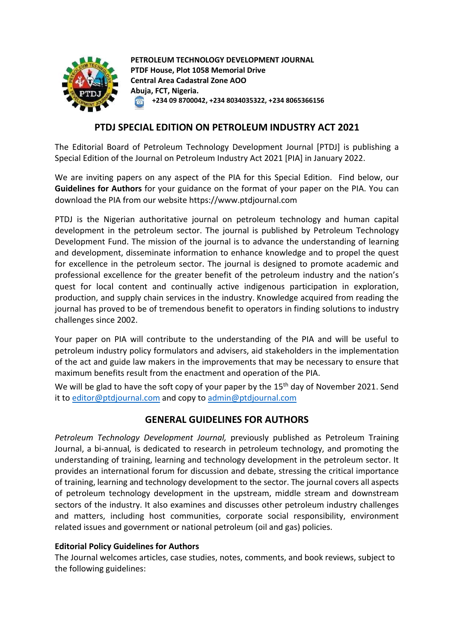

**PETROLEUM TECHNOLOGY DEVELOPMENT JOURNAL PTDF House, Plot 1058 Memorial Drive Central Area Cadastral Zone AOO Abuja, FCT, Nigeria. +234 09 8700042, +234 8034035322, +234 8065366156**  $\circ$ 

## **PTDJ SPECIAL EDITION ON PETROLEUM INDUSTRY ACT 2021**

The Editorial Board of Petroleum Technology Development Journal [PTDJ] is publishing a Special Edition of the Journal on Petroleum Industry Act 2021 [PIA] in January 2022.

We are inviting papers on any aspect of the PIA for this Special Edition. Find below, our **Guidelines for Authors** for your guidance on the format of your paper on the PIA. You can download the PIA from our website https://www.ptdjournal.com

PTDJ is the Nigerian authoritative journal on petroleum technology and human capital development in the petroleum sector. The journal is published by Petroleum Technology Development Fund. The mission of the journal is to advance the understanding of learning and development, disseminate information to enhance knowledge and to propel the quest for excellence in the petroleum sector. The journal is designed to promote academic and professional excellence for the greater benefit of the petroleum industry and the nation's quest for local content and continually active indigenous participation in exploration, production, and supply chain services in the industry. Knowledge acquired from reading the journal has proved to be of tremendous benefit to operators in finding solutions to industry challenges since 2002.

Your paper on PIA will contribute to the understanding of the PIA and will be useful to petroleum industry policy formulators and advisers, aid stakeholders in the implementation of the act and guide law makers in the improvements that may be necessary to ensure that maximum benefits result from the enactment and operation of the PIA.

We will be glad to have the soft copy of your paper by the 15<sup>th</sup> day of November 2021. Send it to [editor@ptdjournal.com](mailto:editor@ptdjournal.com) and copy t[o admin@ptdjournal.com](mailto:admin@ptdjournal.com)

# **GENERAL GUIDELINES FOR AUTHORS**

*Petroleum Technology Development Journal,* previously published as Petroleum Training Journal, a bi-annual*,* is dedicated to research in petroleum technology, and promoting the understanding of training, learning and technology development in the petroleum sector. It provides an international forum for discussion and debate, stressing the critical importance of training, learning and technology development to the sector. The journal covers all aspects of petroleum technology development in the upstream, middle stream and downstream sectors of the industry. It also examines and discusses other petroleum industry challenges and matters, including host communities, corporate social responsibility, environment related issues and government or national petroleum (oil and gas) policies.

#### **Editorial Policy Guidelines for Authors**

The Journal welcomes articles, case studies, notes, comments, and book reviews, subject to the following guidelines: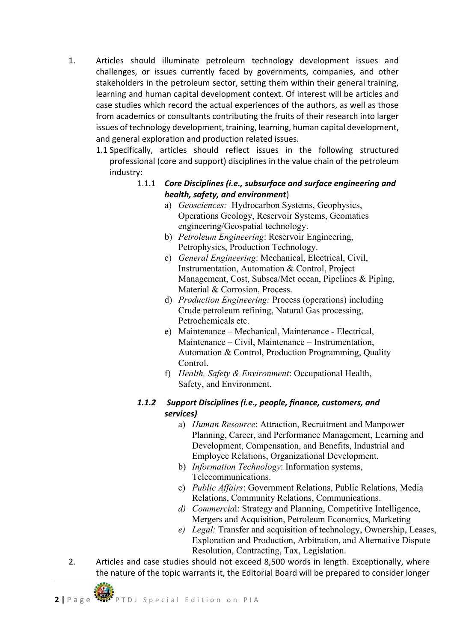- 1. Articles should illuminate petroleum technology development issues and challenges, or issues currently faced by governments, companies, and other stakeholders in the petroleum sector, setting them within their general training, learning and human capital development context. Of interest will be articles and case studies which record the actual experiences of the authors, as well as those from academics or consultants contributing the fruits of their research into larger issues of technology development, training, learning, human capital development, and general exploration and production related issues.
	- 1.1 Specifically, articles should reflect issues in the following structured professional (core and support) disciplines in the value chain of the petroleum industry:

### 1.1.1 *Core Disciplines (i.e., subsurface and surface engineering and health, safety, and environment*)

- a) *Geosciences:* Hydrocarbon Systems, Geophysics, Operations Geology, Reservoir Systems, Geomatics engineering/Geospatial technology.
- b) *Petroleum Engineering*: Reservoir Engineering, Petrophysics, Production Technology.
- c) *General Engineering*: Mechanical, Electrical, Civil, Instrumentation, Automation & Control, Project Management, Cost, Subsea/Met ocean, Pipelines & Piping, Material & Corrosion, Process.
- d) *Production Engineering:* Process (operations) including Crude petroleum refining, Natural Gas processing, Petrochemicals etc.
- e) Maintenance Mechanical, Maintenance Electrical, Maintenance – Civil, Maintenance – Instrumentation, Automation & Control, Production Programming, Quality Control.
- f) *Health, Safety & Environment*: Occupational Health, Safety, and Environment.

# *1.1.2 Support Disciplines (i.e., people, finance, customers, and services)*

- a) *Human Resource*: Attraction, Recruitment and Manpower Planning, Career, and Performance Management, Learning and Development, Compensation, and Benefits, Industrial and Employee Relations, Organizational Development.
- b) *Information Technology*: Information systems, Telecommunications.
- c) *Public Affairs*: Government Relations, Public Relations, Media Relations, Community Relations, Communications.
- *d) Commercia*l: Strategy and Planning, Competitive Intelligence, Mergers and Acquisition, Petroleum Economics, Marketing
- *e) Legal:* Transfer and acquisition of technology, Ownership, Leases, Exploration and Production, Arbitration, and Alternative Dispute Resolution, Contracting, Tax, Legislation.
- 2. Articles and case studies should not exceed 8,500 words in length. Exceptionally, where the nature of the topic warrants it, the Editorial Board will be prepared to consider longer